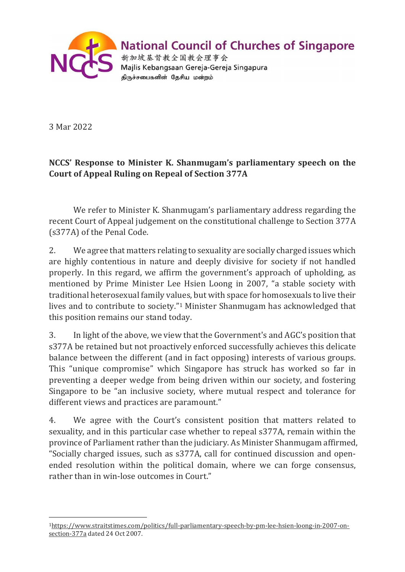

## **National Council of Churches of Singapore**

新加坡基督教全国教会理事会 Majlis Kebangsaan Gereja-Gereja Singapura திருச்சபைகளின் தேசிய மன்றம்

3 Mar 2022

## **NCCS' Response to Minister K. Shanmugam's parliamentary speech on the Court of Appeal Ruling on Repeal of Section 377A**

We refer to Minister K. Shanmugam's parliamentary address regarding the recent Court of Appeal judgement on the constitutional challenge to Section 377A (s377A) of the Penal Code.

2. We agree that matters relating to sexuality are socially charged issues which are highly contentious in nature and deeply divisive for society if not handled properly. In this regard, we affirm the government's approach of upholding, as mentioned by Prime Minister Lee Hsien Loong in 2007, "a stable society with traditional heterosexual family values, but with space for homosexuals to live their lives and to contribute to society."[1](#page-0-0) Minister Shanmugam has acknowledged that this position remains our stand today.

3. In light of the above, we view that the Government's and AGC's position that s377A be retained but not proactively enforced successfully achieves this delicate balance between the different (and in fact opposing) interests of various groups. This "unique compromise" which Singapore has struck has worked so far in preventing a deeper wedge from being driven within our society, and fostering Singapore to be "an inclusive society, where mutual respect and tolerance for different views and practices are paramount."

4. We agree with the Court's consistent position that matters related to sexuality, and in this particular case whether to repeal s377A, remain within the province of Parliament rather than the judiciary. As Minister Shanmugam affirmed, "Socially charged issues, such as s377A, call for continued discussion and openended resolution within the political domain, where we can forge consensus, rather than in win-lose outcomes in Court."

<span id="page-0-0"></span>[<sup>1</sup>https://www.straitstimes.com/politics/full-parliamentary-speech-by-pm-lee-hsien-loong-in-2007-on](https://www.straitstimes.com/politics/full-parliamentary-speech-by-pm-lee-hsien-loong-in-2007-on-section-377a)[section-377a](https://www.straitstimes.com/politics/full-parliamentary-speech-by-pm-lee-hsien-loong-in-2007-on-section-377a) dated 24 Oct 2007.